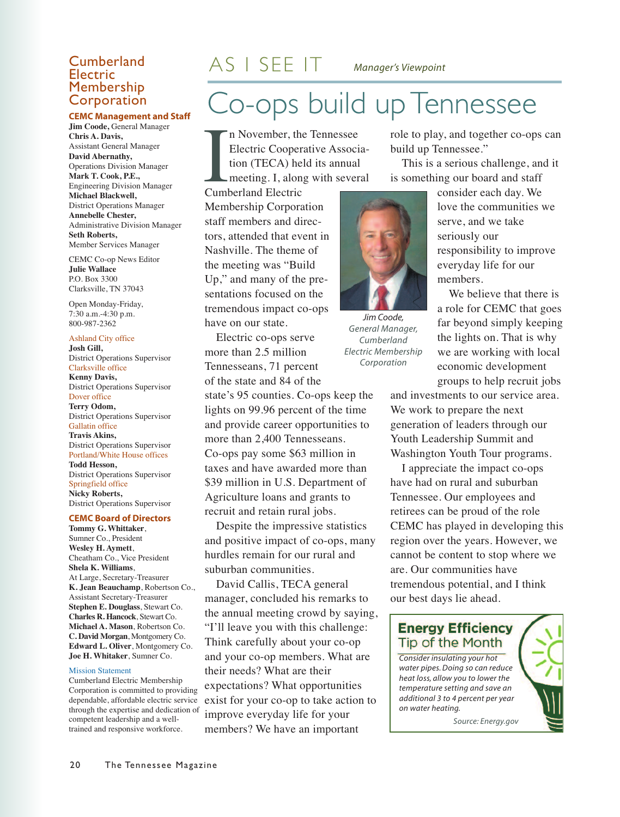### Electric<br>Membership Corporation

#### **CEMC Management and Staff**

**Jim Coode,** General Manager **Chris A. Davis,** Assistant General Manager **David Abernathy,** Operations Division Manager **Mark T. Cook, P.E.,** Engineering Division Manager **Michael Blackwell,** District Operations Manager **Annebelle Chester,** Administrative Division Manager **Seth Roberts,** Member Services Manager

CEMC Co-op News Editor **Julie Wallace** P.O. Box 3300 Clarksville, TN 37043

Open Monday-Friday, 7:30 a.m.-4:30 p.m. 800-987-2362

Ashland City office **Josh Gill,** District Operations Supervisor Clarksville office **Kenny Davis,** District Operations Supervisor Dover office

**Terry Odom,** District Operations Supervisor Gallatin office **Travis Akins,** District Operations Supervisor Portland/White House offices **Todd Hesson,** District Operations Supervisor Springfield office **Nicky Roberts,** District Operations Supervisor

#### **CEMC Board of Directors**

**Tommy G. Whittaker**, Sumner Co., President **Wesley H. Aymett**, Cheatham Co., Vice President **Shela K. Williams**, At Large, Secretary-Treasurer **K. Jean Beauchamp**, Robertson Co., Assistant Secretary-Treasurer **Stephen E. Douglass**, Stewart Co. **Charles R. Hancock**, Stewart Co. **Michael A. Mason**, Robertson Co. **C. David Morgan**, Montgomery Co. **Edward L. Oliver**, Montgomery Co. **Joe H. Whitaker**, Sumner Co.

#### Mission Statement

Cumberland Electric Membership Corporation is committed to providing dependable, affordable electric service through the expertise and dedication of competent leadership and a welltrained and responsive workforce.

## Co-ops build up Tennessee **Cumberland**  $AS \perp SEE \perp T$  *Manager's Viewpoint*

In November, the Electric Cooper tion (TECA) he meeting. I, alon Cumberland Electric n November, the Tennessee Electric Cooperative Association (TECA) held its annual meeting. I, along with several

Membership Corporation staff members and directors, attended that event in Nashville. The theme of the meeting was "Build Up," and many of the presentations focused on the tremendous impact co-ops have on our state.

Electric co-ops serve more than 2.5 million Tennesseans, 71 percent of the state and 84 of the

state's 95 counties. Co-ops keep the lights on 99.96 percent of the time and provide career opportunities to more than 2,400 Tennesseans. Co-ops pay some \$63 million in taxes and have awarded more than \$39 million in U.S. Department of Agriculture loans and grants to recruit and retain rural jobs.

Despite the impressive statistics and positive impact of co-ops, many hurdles remain for our rural and suburban communities.

David Callis, TECA general manager, concluded his remarks to the annual meeting crowd by saying, "I'll leave you with this challenge: Think carefully about your co-op and your co-op members. What are their needs? What are their expectations? What opportunities exist for your co-op to take action to improve everyday life for your members? We have an important

role to play, and together co-ops can build up Tennessee."

This is a serious challenge, and it is something our board and staff

*Jim Coode, General Manager, Cumberland Electric Membership Corporation*

consider each day. We love the communities we serve, and we take seriously our responsibility to improve everyday life for our members.

We believe that there is a role for CEMC that goes far beyond simply keeping the lights on. That is why we are working with local economic development groups to help recruit jobs

and investments to our service area. We work to prepare the next generation of leaders through our Youth Leadership Summit and Washington Youth Tour programs.

I appreciate the impact co-ops have had on rural and suburban Tennessee. Our employees and retirees can be proud of the role CEMC has played in developing this region over the years. However, we cannot be content to stop where we are. Our communities have tremendous potential, and I think our best days lie ahead.

#### **Energy Efficiency** Tip of the Month

*Consider insulating your hot water pipes.Doing so can reduce heat loss, allow you to lower the temperature setting and save an additional 3 to 4 percent per year on water heating.*

*Source: Energy.gov*

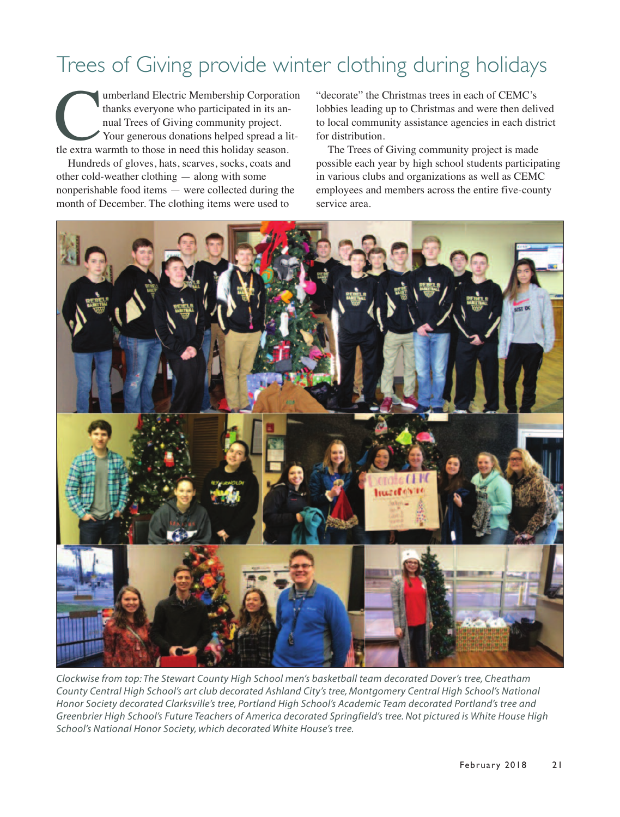### Trees of Giving provide winter clothing during holidays

umberland Electric Membership Corporation<br>thanks everyone who participated in its annual Trees of Giving community project.<br>Your generous donations helped spread a lit-<br>tle extra warmth to those in need this holiday season thanks everyone who participated in its annual Trees of Giving community project. Your generous donations helped spread a little extra warmth to those in need this holiday season.

Hundreds of gloves, hats, scarves, socks, coats and other cold-weather clothing — along with some nonperishable food items — were collected during the month of December. The clothing items were used to

"decorate" the Christmas trees in each of CEMC's lobbies leading up to Christmas and were then delived to local community assistance agencies in each district for distribution.

The Trees of Giving community project is made possible each year by high school students participating in various clubs and organizations as well as CEMC employees and members across the entire five-county service area.



*Clockwise from top: The Stewart County High School men's basketball team decorated Dover's tree, Cheatham County Central High School's art club decorated Ashland City's tree, Montgomery Central High School's National Honor Society decorated Clarksville's tree, Portland High School's Academic Team decorated Portland's tree and* Greenbrier High School's Future Teachers of America decorated Springfield's tree. Not pictured is White House High *School's National Honor Society, which decorated White House's tree.*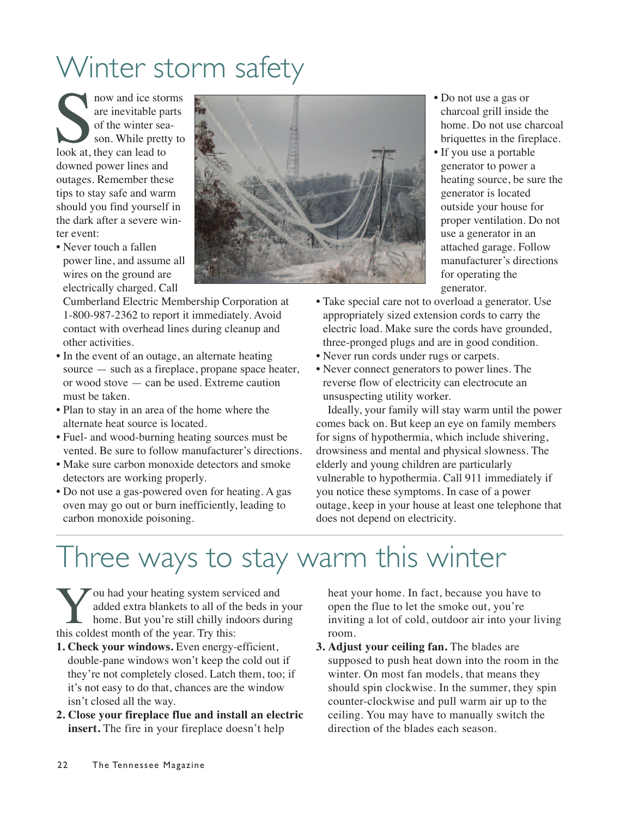# Winter storm safety

som and ice stomar and ice stomar and ice stomar and ice stone<br>
of the winter se son. While prett<br>
look at, they can lead to now and ice storms are inevitable parts of the winter season. While pretty to downed power lines and outages. Remember these tips to stay safe and warm should you find yourself in the dark after a severe winter event:

• Never touch a fallen power line, and assume all wires on the ground are electrically charged. Call

Cumberland Electric Membership Corporation at 1-800-987-2362 to report it immediately. Avoid contact with overhead lines during cleanup and other activities.

- In the event of an outage, an alternate heating source — such as a fireplace, propane space heater, or wood stove — can be used. Extreme caution must be taken.
- Plan to stay in an area of the home where the alternate heat source is located.
- Fuel- and wood-burning heating sources must be vented. Be sure to follow manufacturer's directions.
- Make sure carbon monoxide detectors and smoke detectors are working properly.
- Do not use a gas-powered oven for heating. A gas oven may go out or burn inefficiently, leading to carbon monoxide poisoning.
- 
- Do not use a gas or charcoal grill inside the home. Do not use charcoal briquettes in the fireplace.
- If you use a portable generator to power a heating source, be sure the generator is located outside your house for proper ventilation. Do not use a generator in an attached garage. Follow manufacturer's directions for operating the generator.
- Take special care not to overload a generator. Use appropriately sized extension cords to carry the electric load. Make sure the cords have grounded, three-pronged plugs and are in good condition.
- Never run cords under rugs or carpets.
- Never connect generators to power lines. The reverse flow of electricity can electrocute an unsuspecting utility worker.

Ideally, your family will stay warm until the power comes back on. But keep an eye on family members for signs of hypothermia, which include shivering, drowsiness and mental and physical slowness. The elderly and young children are particularly vulnerable to hypothermia. Call 911 immediately if you notice these symptoms. In case of a power outage, keep in your house at least one telephone that does not depend on electricity.

### Three ways to stay warm this winter

You had your heating system serviced and<br>added extra blankets to all of the beds in<br>home. But you're still chilly indoors duri<br>this coldest month of the year. Try this: added extra blankets to all of the beds in your home. But you're still chilly indoors during this coldest month of the year. Try this:

- **1. Check your windows.** Even energy-efficient, double-pane windows won't keep the cold out if they're not completely closed. Latch them, too; if it's not easy to do that, chances are the window isn't closed all the way.
- **2. Close your fireplace flue and install an electric insert.** The fire in your fireplace doesn't help

heat your home. In fact, because you have to open the flue to let the smoke out, you're inviting a lot of cold, outdoor air into your living room.

**3. Adjust your ceiling fan.** The blades are supposed to push heat down into the room in the winter. On most fan models, that means they should spin clockwise. In the summer, they spin counter-clockwise and pull warm air up to the ceiling. You may have to manually switch the direction of the blades each season.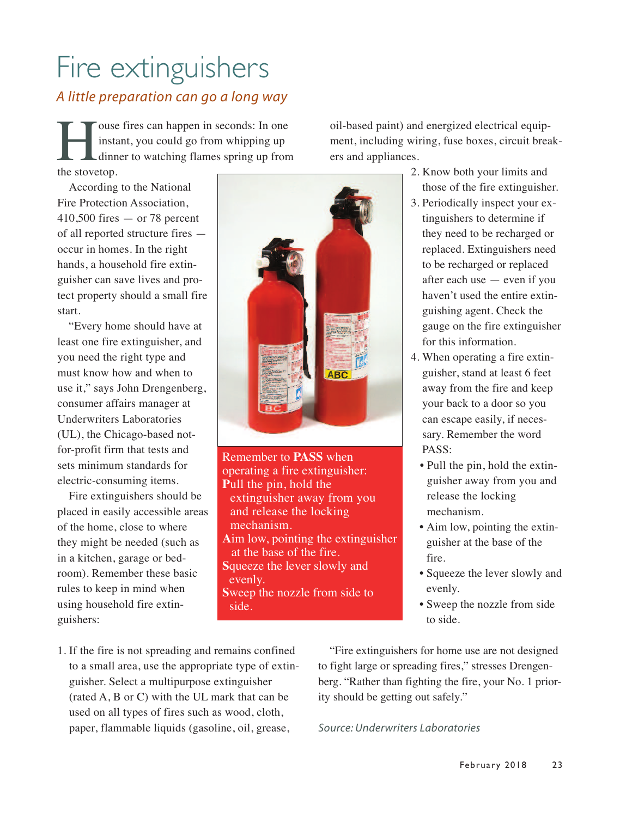# Fire extinguishers

#### *A little preparation can go a long way*

The Units of the stove<br>to the stove of the stove of the stove of the stove of the stove<br>to the stove of the stove of the stove of the stove of the stove<br>to the stove of the stove of the stove of the stove of the stove<br>to t instant, you could go from whipping up dinner to watching flames spring up from the stovetop.

According to the National Fire Protection Association,  $410,500$  fires  $-$  or 78 percent of all reported structure fires occur in homes. In the right hands, a household fire extinguisher can save lives and protect property should a small fire start.

"Every home should have at least one fire extinguisher, and you need the right type and must know how and when to use it," says John Drengenberg, consumer affairs manager at Underwriters Laboratories (UL), the Chicago-based notfor-profit firm that tests and sets minimum standards for electric-consuming items.

Fire extinguishers should be placed in easily accessible areas of the home, close to where they might be needed (such as in a kitchen, garage or bedroom). Remember these basic rules to keep in mind when using household fire extinguishers:



Remember to **PASS** when operating a fire extinguisher: **P**ull the pin, hold the extinguisher away from you and release the locking mechanism. **A**im low, pointing the extinguisher at the base of the fire. **S**queeze the lever slowly and evenly. **S**weep the nozzle from side to side.

oil-based paint) and energized electrical equipment, including wiring, fuse boxes, circuit breakers and appliances.

- 2. Know both your limits and those of the fire extinguisher.
- 3. Periodically inspect your extinguishers to determine if they need to be recharged or replaced. Extinguishers need to be recharged or replaced after each use — even if you haven't used the entire extinguishing agent. Check the gauge on the fire extinguisher for this information.
- 4. When operating a fire extinguisher, stand at least 6 feet away from the fire and keep your back to a door so you can escape easily, if necessary. Remember the word PASS:
	- Pull the pin, hold the extinguisher away from you and release the locking mechanism.
	- Aim low, pointing the extinguisher at the base of the fire.
	- Squeeze the lever slowly and evenly.
	- Sweep the nozzle from side to side.

1. If the fire is not spreading and remains confined to a small area, use the appropriate type of extinguisher. Select a multipurpose extinguisher (rated A, B or C) with the UL mark that can be used on all types of fires such as wood, cloth, paper, flammable liquids (gasoline, oil, grease,

"Fire extinguishers for home use are not designed to fight large or spreading fires," stresses Drengenberg. "Rather than fighting the fire, your No. 1 priority should be getting out safely."

*Source: Underwriters Laboratories*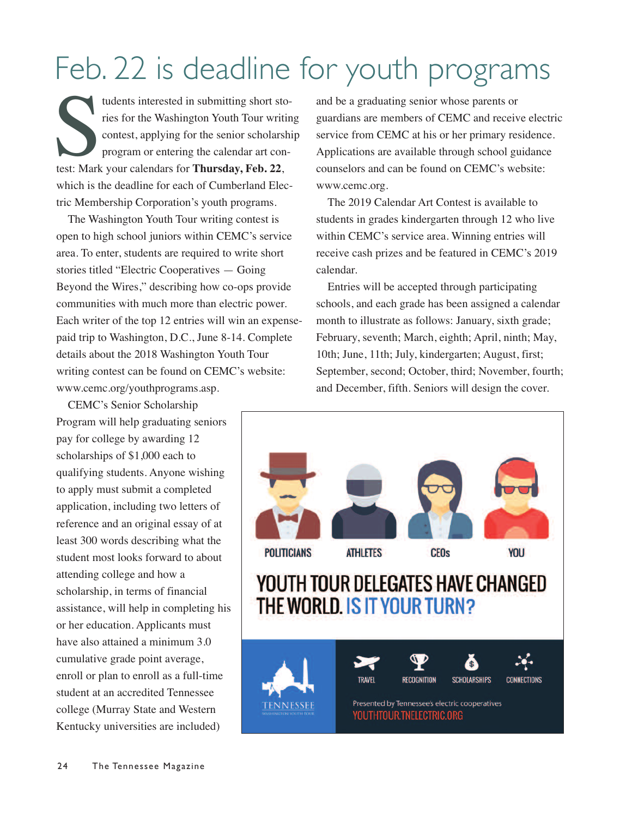# Feb. 22 is deadline for youth programs

tudents interested in submitting short stress rises for the Washington Youth Tour write<br>contest, applying for the senior scholars<br>program or entering the calendar art cortest: Mark your calendars for **Thursday**, Feb. 22, tudents interested in submitting short stories for the Washington Youth Tour writing contest, applying for the senior scholarship program or entering the calendar art conwhich is the deadline for each of Cumberland Electric Membership Corporation's youth programs.

The Washington Youth Tour writing contest is open to high school juniors within CEMC's service area. To enter, students are required to write short stories titled "Electric Cooperatives — Going Beyond the Wires," describing how co-ops provide communities with much more than electric power. Each writer of the top 12 entries will win an expensepaid trip to Washington, D.C., June 8-14. Complete details about the 2018 Washington Youth Tour writing contest can be found on CEMC's website: www.cemc.org/youthprograms.asp.

CEMC's Senior Scholarship Program will help graduating seniors pay for college by awarding 12 scholarships of \$1,000 each to qualifying students. Anyone wishing to apply must submit a completed application, including two letters of reference and an original essay of at least 300 words describing what the student most looks forward to about attending college and how a scholarship, in terms of financial assistance, will help in completing his or her education. Applicants must have also attained a minimum 3.0 cumulative grade point average, enroll or plan to enroll as a full-time student at an accredited Tennessee college (Murray State and Western Kentucky universities are included)

and be a graduating senior whose parents or guardians are members of CEMC and receive electric service from CEMC at his or her primary residence. Applications are available through school guidance counselors and can be found on CEMC's website: www.cemc.org.

The 2019 Calendar Art Contest is available to students in grades kindergarten through 12 who live within CEMC's service area. Winning entries will receive cash prizes and be featured in CEMC's 2019 calendar.

Entries will be accepted through participating schools, and each grade has been assigned a calendar month to illustrate as follows: January, sixth grade; February, seventh; March, eighth; April, ninth; May, 10th; June, 11th; July, kindergarten; August, first; September, second; October, third; November, fourth; and December, fifth. Seniors will design the cover.

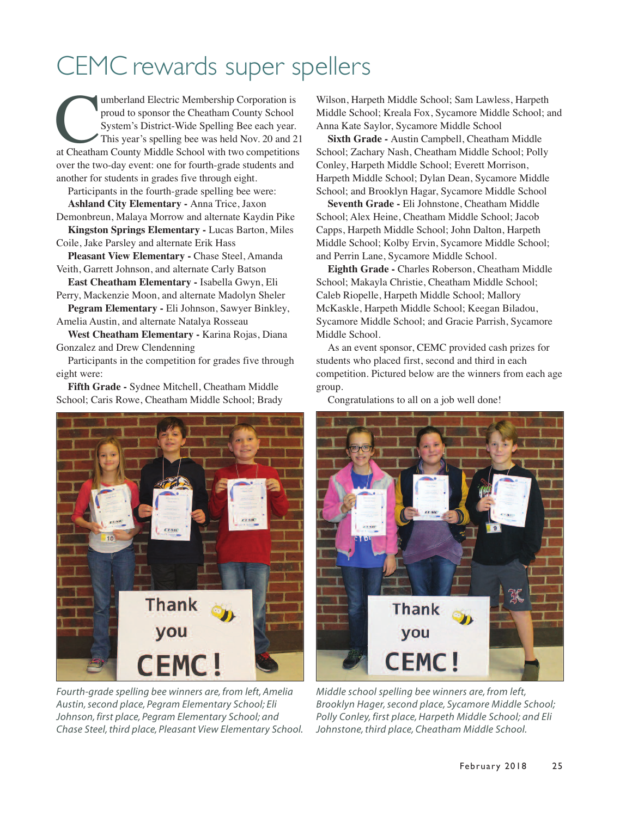### CEMC rewards super spellers

Imberland Electric Membership Corporation is<br>
proud to sponsor the Cheatham County School<br>
System's District-Wide Spelling Bee each year.<br>
This year's spelling bee was held Nov. 20 and 2<br>
at Cheatham County Middle School w proud to sponsor the Cheatham County School System's District-Wide Spelling Bee each year. This year's spelling bee was held Nov. 20 and 21 over the two-day event: one for fourth-grade students and another for students in grades five through eight.

Participants in the fourth-grade spelling bee were: **Ashland City Elementary -** Anna Trice, Jaxon

Demonbreun, Malaya Morrow and alternate Kaydin Pike **Kingston Springs Elementary -** Lucas Barton, Miles

Coile, Jake Parsley and alternate Erik Hass

**Pleasant View Elementary -** Chase Steel, Amanda Veith, Garrett Johnson, and alternate Carly Batson

**East Cheatham Elementary -** Isabella Gwyn, Eli Perry, Mackenzie Moon, and alternate Madolyn Sheler

**Pegram Elementary -** Eli Johnson, Sawyer Binkley, Amelia Austin, and alternate Natalya Rosseau

**West Cheatham Elementary -** Karina Rojas, Diana Gonzalez and Drew Clendenning

Participants in the competition for grades five through eight were:

**Fifth Grade -** Sydnee Mitchell, Cheatham Middle School; Caris Rowe, Cheatham Middle School; Brady



*Fourth-grade spelling bee winners are, from left, Amelia Austin,second place, Pegram Elementary School; Eli Johnson, first place, Pegram Elementary School; and Chase Steel,third place, Pleasant View Elementary School.*

Wilson, Harpeth Middle School; Sam Lawless, Harpeth Middle School; Kreala Fox, Sycamore Middle School; and Anna Kate Saylor, Sycamore Middle School

**Sixth Grade -** Austin Campbell, Cheatham Middle School; Zachary Nash, Cheatham Middle School; Polly Conley, Harpeth Middle School; Everett Morrison, Harpeth Middle School; Dylan Dean, Sycamore Middle School; and Brooklyn Hagar, Sycamore Middle School

**Seventh Grade -** Eli Johnstone, Cheatham Middle School; Alex Heine, Cheatham Middle School; Jacob Capps, Harpeth Middle School; John Dalton, Harpeth Middle School; Kolby Ervin, Sycamore Middle School; and Perrin Lane, Sycamore Middle School.

**Eighth Grade -** Charles Roberson, Cheatham Middle School; Makayla Christie, Cheatham Middle School; Caleb Riopelle, Harpeth Middle School; Mallory McKaskle, Harpeth Middle School; Keegan Biladou, Sycamore Middle School; and Gracie Parrish, Sycamore Middle School.

As an event sponsor, CEMC provided cash prizes for students who placed first, second and third in each competition. Pictured below are the winners from each age group.

Congratulations to all on a job well done!



*Middle school spelling bee winners are, from left, Brooklyn Hager,second place, Sycamore Middle School; Polly Conley, first place, Harpeth Middle School; and Eli Johnstone, third place, Cheatham Middle School.*